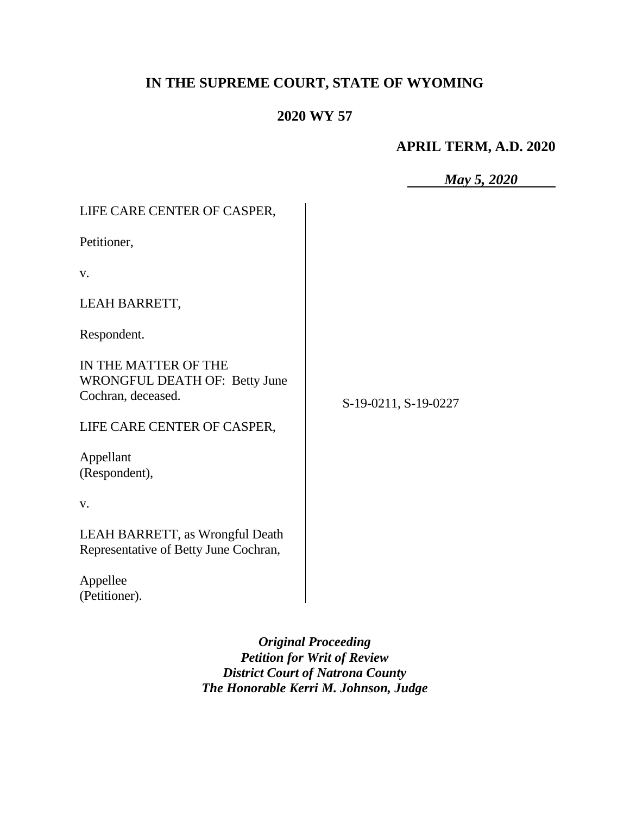# **IN THE SUPREME COURT, STATE OF WYOMING**

# **2020 WY 57**

### **APRIL TERM, A.D. 2020**

*May 5, 2020*

| LIFE CARE CENTER OF CASPER,                                                     |                      |
|---------------------------------------------------------------------------------|----------------------|
| Petitioner,                                                                     |                      |
| V.                                                                              |                      |
| LEAH BARRETT,                                                                   |                      |
| Respondent.                                                                     |                      |
| IN THE MATTER OF THE<br>WRONGFUL DEATH OF: Betty June<br>Cochran, deceased.     | S-19-0211, S-19-0227 |
| LIFE CARE CENTER OF CASPER,                                                     |                      |
| Appellant<br>(Respondent),                                                      |                      |
| V.                                                                              |                      |
| <b>LEAH BARRETT, as Wrongful Death</b><br>Representative of Betty June Cochran, |                      |
| Appellee<br>(Petitioner).                                                       |                      |

*Original Proceeding Petition for Writ of Review District Court of Natrona County The Honorable Kerri M. Johnson, Judge*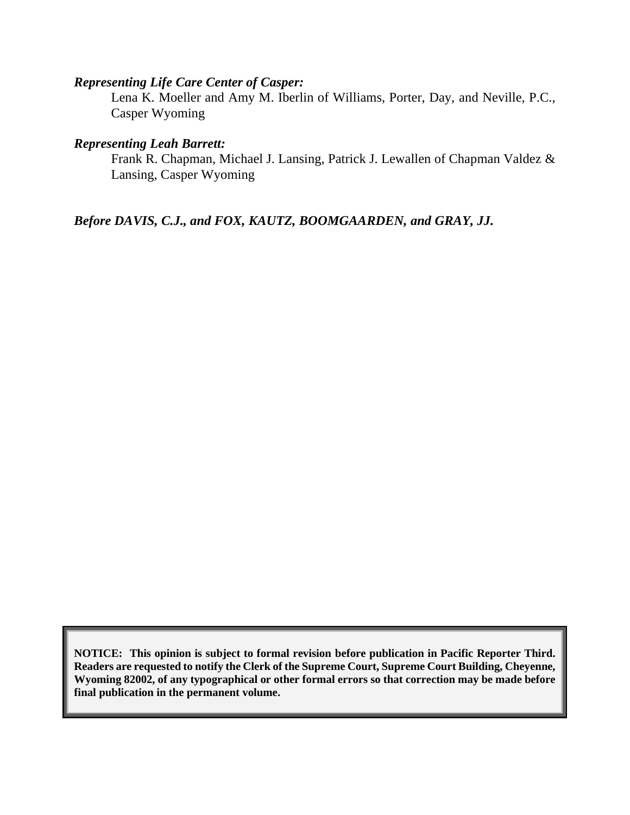#### *Representing Life Care Center of Casper:*

Lena K. Moeller and Amy M. Iberlin of Williams, Porter, Day, and Neville, P.C., Casper Wyoming

#### *Representing Leah Barrett:*

Frank R. Chapman, Michael J. Lansing, Patrick J. Lewallen of Chapman Valdez & Lansing, Casper Wyoming

*Before DAVIS, C.J., and FOX, KAUTZ, BOOMGAARDEN, and GRAY, JJ.*

**NOTICE: This opinion is subject to formal revision before publication in Pacific Reporter Third. Readers are requested to notify the Clerk of the Supreme Court, Supreme Court Building, Cheyenne, Wyoming 82002, of any typographical or other formal errors so that correction may be made before final publication in the permanent volume.**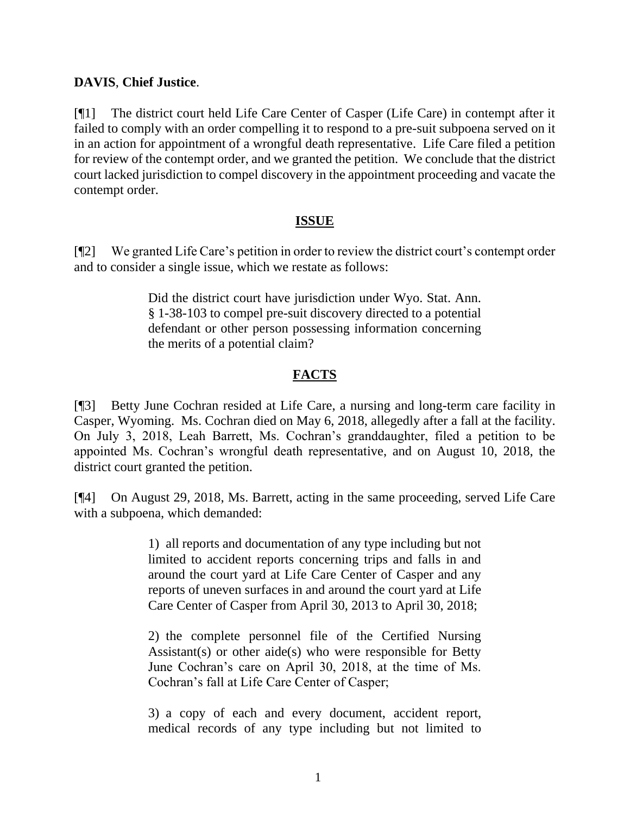#### **DAVIS**, **Chief Justice**.

[¶1] The district court held Life Care Center of Casper (Life Care) in contempt after it failed to comply with an order compelling it to respond to a pre-suit subpoena served on it in an action for appointment of a wrongful death representative. Life Care filed a petition for review of the contempt order, and we granted the petition. We conclude that the district court lacked jurisdiction to compel discovery in the appointment proceeding and vacate the contempt order.

#### **ISSUE**

[¶2] We granted Life Care's petition in order to review the district court's contempt order and to consider a single issue, which we restate as follows:

> Did the district court have jurisdiction under Wyo. Stat. Ann. § 1-38-103 to compel pre-suit discovery directed to a potential defendant or other person possessing information concerning the merits of a potential claim?

#### **FACTS**

[¶3] Betty June Cochran resided at Life Care, a nursing and long-term care facility in Casper, Wyoming. Ms. Cochran died on May 6, 2018, allegedly after a fall at the facility. On July 3, 2018, Leah Barrett, Ms. Cochran's granddaughter, filed a petition to be appointed Ms. Cochran's wrongful death representative, and on August 10, 2018, the district court granted the petition.

[¶4] On August 29, 2018, Ms. Barrett, acting in the same proceeding, served Life Care with a subpoena, which demanded:

> 1) all reports and documentation of any type including but not limited to accident reports concerning trips and falls in and around the court yard at Life Care Center of Casper and any reports of uneven surfaces in and around the court yard at Life Care Center of Casper from April 30, 2013 to April 30, 2018;

> 2) the complete personnel file of the Certified Nursing Assistant(s) or other aide(s) who were responsible for Betty June Cochran's care on April 30, 2018, at the time of Ms. Cochran's fall at Life Care Center of Casper;

> 3) a copy of each and every document, accident report, medical records of any type including but not limited to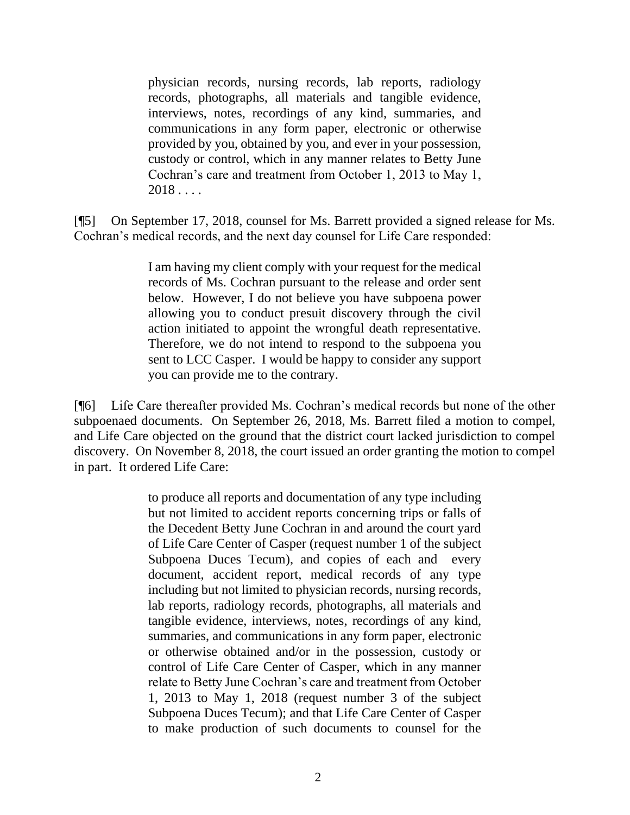physician records, nursing records, lab reports, radiology records, photographs, all materials and tangible evidence, interviews, notes, recordings of any kind, summaries, and communications in any form paper, electronic or otherwise provided by you, obtained by you, and ever in your possession, custody or control, which in any manner relates to Betty June Cochran's care and treatment from October 1, 2013 to May 1,  $2018...$ 

[¶5] On September 17, 2018, counsel for Ms. Barrett provided a signed release for Ms. Cochran's medical records, and the next day counsel for Life Care responded:

> I am having my client comply with your request for the medical records of Ms. Cochran pursuant to the release and order sent below. However, I do not believe you have subpoena power allowing you to conduct presuit discovery through the civil action initiated to appoint the wrongful death representative. Therefore, we do not intend to respond to the subpoena you sent to LCC Casper. I would be happy to consider any support you can provide me to the contrary.

[¶6] Life Care thereafter provided Ms. Cochran's medical records but none of the other subpoenaed documents. On September 26, 2018, Ms. Barrett filed a motion to compel, and Life Care objected on the ground that the district court lacked jurisdiction to compel discovery. On November 8, 2018, the court issued an order granting the motion to compel in part. It ordered Life Care:

> to produce all reports and documentation of any type including but not limited to accident reports concerning trips or falls of the Decedent Betty June Cochran in and around the court yard of Life Care Center of Casper (request number 1 of the subject Subpoena Duces Tecum), and copies of each and every document, accident report, medical records of any type including but not limited to physician records, nursing records, lab reports, radiology records, photographs, all materials and tangible evidence, interviews, notes, recordings of any kind, summaries, and communications in any form paper, electronic or otherwise obtained and/or in the possession, custody or control of Life Care Center of Casper, which in any manner relate to Betty June Cochran's care and treatment from October 1, 2013 to May 1, 2018 (request number 3 of the subject Subpoena Duces Tecum); and that Life Care Center of Casper to make production of such documents to counsel for the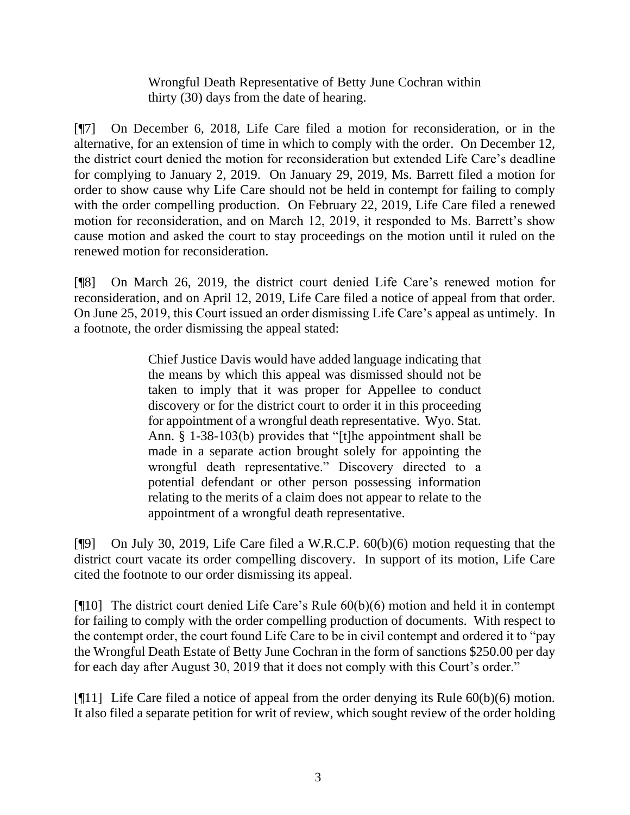Wrongful Death Representative of Betty June Cochran within thirty (30) days from the date of hearing.

[¶7] On December 6, 2018, Life Care filed a motion for reconsideration, or in the alternative, for an extension of time in which to comply with the order. On December 12, the district court denied the motion for reconsideration but extended Life Care's deadline for complying to January 2, 2019. On January 29, 2019, Ms. Barrett filed a motion for order to show cause why Life Care should not be held in contempt for failing to comply with the order compelling production. On February 22, 2019, Life Care filed a renewed motion for reconsideration, and on March 12, 2019, it responded to Ms. Barrett's show cause motion and asked the court to stay proceedings on the motion until it ruled on the renewed motion for reconsideration.

[¶8] On March 26, 2019, the district court denied Life Care's renewed motion for reconsideration, and on April 12, 2019, Life Care filed a notice of appeal from that order. On June 25, 2019, this Court issued an order dismissing Life Care's appeal as untimely. In a footnote, the order dismissing the appeal stated:

> Chief Justice Davis would have added language indicating that the means by which this appeal was dismissed should not be taken to imply that it was proper for Appellee to conduct discovery or for the district court to order it in this proceeding for appointment of a wrongful death representative. Wyo. Stat. Ann. § 1-38-103(b) provides that "[t]he appointment shall be made in a separate action brought solely for appointing the wrongful death representative." Discovery directed to a potential defendant or other person possessing information relating to the merits of a claim does not appear to relate to the appointment of a wrongful death representative.

[¶9] On July 30, 2019, Life Care filed a W.R.C.P. 60(b)(6) motion requesting that the district court vacate its order compelling discovery. In support of its motion, Life Care cited the footnote to our order dismissing its appeal.

[¶10] The district court denied Life Care's Rule 60(b)(6) motion and held it in contempt for failing to comply with the order compelling production of documents. With respect to the contempt order, the court found Life Care to be in civil contempt and ordered it to "pay the Wrongful Death Estate of Betty June Cochran in the form of sanctions \$250.00 per day for each day after August 30, 2019 that it does not comply with this Court's order."

[¶11] Life Care filed a notice of appeal from the order denying its Rule 60(b)(6) motion. It also filed a separate petition for writ of review, which sought review of the order holding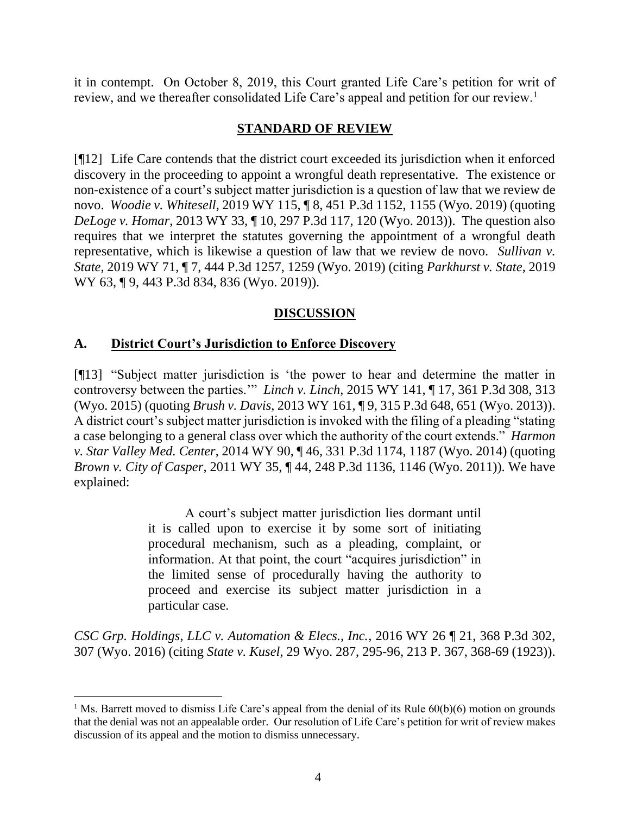it in contempt. On October 8, 2019, this Court granted Life Care's petition for writ of review, and we thereafter consolidated Life Care's appeal and petition for our review.<sup>1</sup>

#### **STANDARD OF REVIEW**

[¶12] Life Care contends that the district court exceeded its jurisdiction when it enforced discovery in the proceeding to appoint a wrongful death representative. The existence or non-existence of a court's subject matter jurisdiction is a question of law that we review de novo. *Woodie v. Whitesell*, 2019 WY 115, ¶ 8, 451 P.3d 1152, 1155 (Wyo. 2019) (quoting *DeLoge v. Homar*, 2013 WY 33, ¶ 10, 297 P.3d 117, 120 (Wyo. 2013)). The question also requires that we interpret the statutes governing the appointment of a wrongful death representative, which is likewise a question of law that we review de novo. *Sullivan v. State*, 2019 WY 71, ¶ 7, 444 P.3d 1257, 1259 (Wyo. 2019) (citing *Parkhurst v. State*, 2019 WY 63, ¶ 9, 443 P.3d 834, 836 (Wyo. 2019)).

# **DISCUSSION**

### **A. District Court's Jurisdiction to Enforce Discovery**

[¶13] "Subject matter jurisdiction is 'the power to hear and determine the matter in controversy between the parties.'" *Linch v. Linch*, 2015 WY 141, ¶ 17, 361 P.3d 308, 313 (Wyo. 2015) (quoting *Brush v. Davis*, 2013 WY 161, ¶ 9, 315 P.3d 648, 651 (Wyo. 2013)). A district court's subject matter jurisdiction is invoked with the filing of a pleading "stating a case belonging to a general class over which the authority of the court extends." *Harmon v. Star Valley Med. Center*, 2014 WY 90, ¶ 46, 331 P.3d 1174, 1187 (Wyo. 2014) (quoting *Brown v. City of Casper*, 2011 WY 35, ¶ 44, 248 P.3d 1136, 1146 (Wyo. 2011)). We have explained:

> A court's subject matter jurisdiction lies dormant until it is called upon to exercise it by some sort of initiating procedural mechanism, such as a pleading, complaint, or information. At that point, the court "acquires jurisdiction" in the limited sense of procedurally having the authority to proceed and exercise its subject matter jurisdiction in a particular case.

*CSC Grp. Holdings, LLC v. Automation & Elecs., Inc.*, 2016 WY 26 ¶ 21, 368 P.3d 302, 307 (Wyo. 2016) (citing *State v. Kusel*, 29 Wyo. 287, 295-96, 213 P. 367, 368-69 (1923)).

<sup>&</sup>lt;sup>1</sup> Ms. Barrett moved to dismiss Life Care's appeal from the denial of its Rule  $60(b)(6)$  motion on grounds that the denial was not an appealable order. Our resolution of Life Care's petition for writ of review makes discussion of its appeal and the motion to dismiss unnecessary.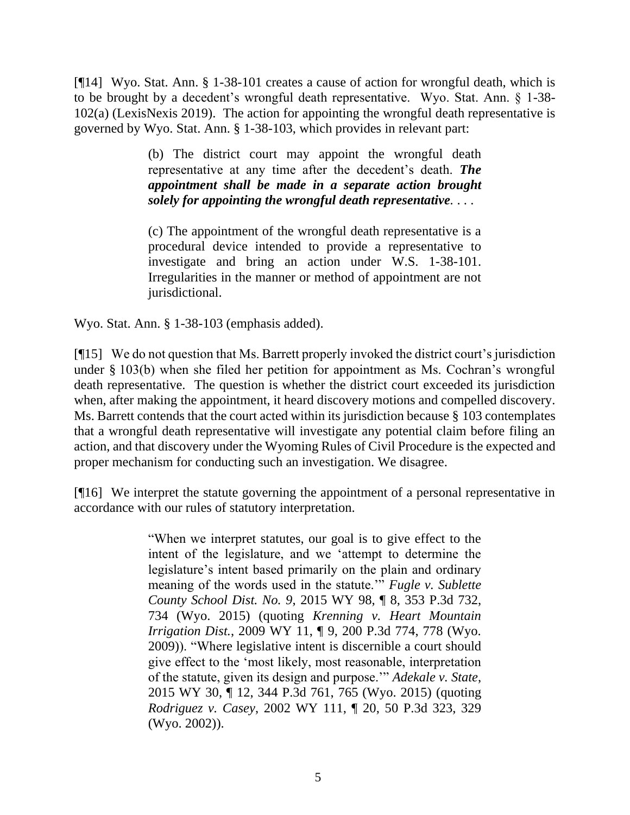[¶14] Wyo. Stat. Ann. § 1-38-101 creates a cause of action for wrongful death, which is to be brought by a decedent's wrongful death representative. Wyo. Stat. Ann. § 1-38- 102(a) (LexisNexis 2019). The action for appointing the wrongful death representative is governed by Wyo. Stat. Ann. § 1-38-103, which provides in relevant part:

> (b) The district court may appoint the wrongful death representative at any time after the decedent's death. *The appointment shall be made in a separate action brought solely for appointing the wrongful death representative.* . . .

> (c) The appointment of the wrongful death representative is a procedural device intended to provide a representative to investigate and bring an action under [W.S. 1-38-101.](http://www.westlaw.com/Link/Document/FullText?findType=L&pubNum=1000377&cite=WYSTS1-38-101&originatingDoc=NCF30C6F07D3311E1ABA6D5ABCAA282A5&refType=LQ&originationContext=document&vr=3.0&rs=cblt1.0&transitionType=DocumentItem&contextData=(sc.Document)) Irregularities in the manner or method of appointment are not jurisdictional.

Wyo. Stat. Ann. § 1-38-103 (emphasis added).

[¶15] We do not question that Ms. Barrett properly invoked the district court's jurisdiction under § 103(b) when she filed her petition for appointment as Ms. Cochran's wrongful death representative. The question is whether the district court exceeded its jurisdiction when, after making the appointment, it heard discovery motions and compelled discovery. Ms. Barrett contends that the court acted within its jurisdiction because § 103 contemplates that a wrongful death representative will investigate any potential claim before filing an action, and that discovery under the Wyoming Rules of Civil Procedure is the expected and proper mechanism for conducting such an investigation. We disagree.

[¶16] We interpret the statute governing the appointment of a personal representative in accordance with our rules of statutory interpretation.

> "When we interpret statutes, our goal is to give effect to the intent of the legislature, and we 'attempt to determine the legislature's intent based primarily on the plain and ordinary meaning of the words used in the statute.'" *[Fugle v. Sublette](http://www.westlaw.com/Link/Document/FullText?findType=Y&serNum=2036806968&pubNum=0004645&originatingDoc=I828b5950a81911e98eaef725d418138a&refType=RP&fi=co_pp_sp_4645_734&originationContext=document&vr=3.0&rs=cblt1.0&transitionType=DocumentItem&contextData=(sc.Search)#co_pp_sp_4645_734)  County School Dist. No. 9*[, 2015 WY 98, ¶ 8, 353 P.3d 732,](http://www.westlaw.com/Link/Document/FullText?findType=Y&serNum=2036806968&pubNum=0004645&originatingDoc=I828b5950a81911e98eaef725d418138a&refType=RP&fi=co_pp_sp_4645_734&originationContext=document&vr=3.0&rs=cblt1.0&transitionType=DocumentItem&contextData=(sc.Search)#co_pp_sp_4645_734)  [734 \(Wyo. 2015\)](http://www.westlaw.com/Link/Document/FullText?findType=Y&serNum=2036806968&pubNum=0004645&originatingDoc=I828b5950a81911e98eaef725d418138a&refType=RP&fi=co_pp_sp_4645_734&originationContext=document&vr=3.0&rs=cblt1.0&transitionType=DocumentItem&contextData=(sc.Search)#co_pp_sp_4645_734) (quoting *[Krenning v. Heart Mountain](http://www.westlaw.com/Link/Document/FullText?findType=Y&serNum=2017969762&pubNum=0004645&originatingDoc=I828b5950a81911e98eaef725d418138a&refType=RP&fi=co_pp_sp_4645_778&originationContext=document&vr=3.0&rs=cblt1.0&transitionType=DocumentItem&contextData=(sc.Search)#co_pp_sp_4645_778)  Irrigation Dist.*[, 2009 WY 11, ¶ 9, 200 P.3d 774, 778 \(Wyo.](http://www.westlaw.com/Link/Document/FullText?findType=Y&serNum=2017969762&pubNum=0004645&originatingDoc=I828b5950a81911e98eaef725d418138a&refType=RP&fi=co_pp_sp_4645_778&originationContext=document&vr=3.0&rs=cblt1.0&transitionType=DocumentItem&contextData=(sc.Search)#co_pp_sp_4645_778)  [2009\)\)](http://www.westlaw.com/Link/Document/FullText?findType=Y&serNum=2017969762&pubNum=0004645&originatingDoc=I828b5950a81911e98eaef725d418138a&refType=RP&fi=co_pp_sp_4645_778&originationContext=document&vr=3.0&rs=cblt1.0&transitionType=DocumentItem&contextData=(sc.Search)#co_pp_sp_4645_778). "Where legislative intent is discernible a court should give effect to the 'most likely, most reasonable, interpretation of the statute, given its design and purpose.'" *[Adekale v. State](http://www.westlaw.com/Link/Document/FullText?findType=Y&serNum=2035504869&pubNum=0004645&originatingDoc=I828b5950a81911e98eaef725d418138a&refType=RP&fi=co_pp_sp_4645_765&originationContext=document&vr=3.0&rs=cblt1.0&transitionType=DocumentItem&contextData=(sc.Search)#co_pp_sp_4645_765)*, [2015 WY 30, ¶ 12, 344 P.3d 761, 765 \(Wyo. 2015\)](http://www.westlaw.com/Link/Document/FullText?findType=Y&serNum=2035504869&pubNum=0004645&originatingDoc=I828b5950a81911e98eaef725d418138a&refType=RP&fi=co_pp_sp_4645_765&originationContext=document&vr=3.0&rs=cblt1.0&transitionType=DocumentItem&contextData=(sc.Search)#co_pp_sp_4645_765) (quoting *Rodriguez v. Casey*[, 2002 WY 111, ¶ 20, 50 P.3d 323, 329](http://www.westlaw.com/Link/Document/FullText?findType=Y&serNum=2002444621&pubNum=0004645&originatingDoc=I828b5950a81911e98eaef725d418138a&refType=RP&fi=co_pp_sp_4645_329&originationContext=document&vr=3.0&rs=cblt1.0&transitionType=DocumentItem&contextData=(sc.Search)#co_pp_sp_4645_329)  [\(Wyo. 2002\)\)](http://www.westlaw.com/Link/Document/FullText?findType=Y&serNum=2002444621&pubNum=0004645&originatingDoc=I828b5950a81911e98eaef725d418138a&refType=RP&fi=co_pp_sp_4645_329&originationContext=document&vr=3.0&rs=cblt1.0&transitionType=DocumentItem&contextData=(sc.Search)#co_pp_sp_4645_329).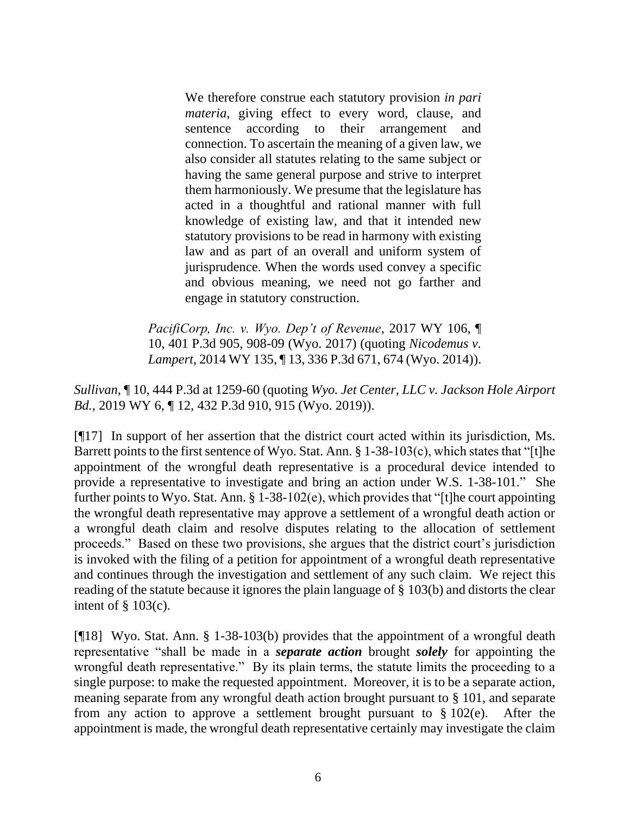We therefore construe each statutory provision *in pari materia*, giving effect to every word, clause, and sentence according to their arrangement and connection. To ascertain the meaning of a given law, we also consider all statutes relating to the same subject or having the same general purpose and strive to interpret them harmoniously. We presume that the legislature has acted in a thoughtful and rational manner with full knowledge of existing law, and that it intended new statutory provisions to be read in harmony with existing law and as part of an overall and uniform system of jurisprudence. When the words used convey a specific and obvious meaning, we need not go farther and engage in statutory construction.

*[PacifiCorp, Inc. v. Wyo. Dep't of Revenue](http://www.westlaw.com/Link/Document/FullText?findType=Y&serNum=2042611060&pubNum=0004645&originatingDoc=I828b5950a81911e98eaef725d418138a&refType=RP&fi=co_pp_sp_4645_908&originationContext=document&vr=3.0&rs=cblt1.0&transitionType=DocumentItem&contextData=(sc.Search)#co_pp_sp_4645_908)*, 2017 WY 106, ¶ [10, 401 P.3d 905, 908-09 \(Wyo. 2017\)](http://www.westlaw.com/Link/Document/FullText?findType=Y&serNum=2042611060&pubNum=0004645&originatingDoc=I828b5950a81911e98eaef725d418138a&refType=RP&fi=co_pp_sp_4645_908&originationContext=document&vr=3.0&rs=cblt1.0&transitionType=DocumentItem&contextData=(sc.Search)#co_pp_sp_4645_908) (quoting *[Nicodemus v.](http://www.westlaw.com/Link/Document/FullText?findType=Y&serNum=2034700384&pubNum=0004645&originatingDoc=I828b5950a81911e98eaef725d418138a&refType=RP&fi=co_pp_sp_4645_674&originationContext=document&vr=3.0&rs=cblt1.0&transitionType=DocumentItem&contextData=(sc.Search)#co_pp_sp_4645_674)  Lampert*[, 2014 WY 135, ¶ 13, 336 P.3d 671, 674 \(Wyo. 2014\)\)](http://www.westlaw.com/Link/Document/FullText?findType=Y&serNum=2034700384&pubNum=0004645&originatingDoc=I828b5950a81911e98eaef725d418138a&refType=RP&fi=co_pp_sp_4645_674&originationContext=document&vr=3.0&rs=cblt1.0&transitionType=DocumentItem&contextData=(sc.Search)#co_pp_sp_4645_674).

*Sullivan*, ¶ 10, 444 P.3d at 1259-60 (quoting *[Wyo. Jet Center, LLC v. Jackson Hole Airport](http://www.westlaw.com/Link/Document/FullText?findType=Y&serNum=2047331227&pubNum=0004645&originatingDoc=I828b5950a81911e98eaef725d418138a&refType=RP&fi=co_pp_sp_4645_915&originationContext=document&vr=3.0&rs=cblt1.0&transitionType=DocumentItem&contextData=(sc.Search)#co_pp_sp_4645_915)  Bd.*[, 2019 WY 6, ¶ 12, 432 P.3d 910, 915 \(Wyo. 2019\)\)](http://www.westlaw.com/Link/Document/FullText?findType=Y&serNum=2047331227&pubNum=0004645&originatingDoc=I828b5950a81911e98eaef725d418138a&refType=RP&fi=co_pp_sp_4645_915&originationContext=document&vr=3.0&rs=cblt1.0&transitionType=DocumentItem&contextData=(sc.Search)#co_pp_sp_4645_915).

[¶17] In support of her assertion that the district court acted within its jurisdiction, Ms. Barrett points to the first sentence of Wyo. Stat. Ann. § 1-38-103(c), which states that "[t]he appointment of the wrongful death representative is a procedural device intended to provide a representative to investigate and bring an action under [W.S. 1-38-101.](http://www.westlaw.com/Link/Document/FullText?findType=L&pubNum=1000377&cite=WYSTS1-38-101&originatingDoc=NCF30C6F07D3311E1ABA6D5ABCAA282A5&refType=LQ&originationContext=document&vr=3.0&rs=cblt1.0&transitionType=DocumentItem&contextData=(sc.Document))" She further points to Wyo. Stat. Ann. § 1-38-102(e), which provides that "[t]he court appointing the wrongful death representative may approve a settlement of a wrongful death action or a wrongful death claim and resolve disputes relating to the allocation of settlement proceeds." Based on these two provisions, she argues that the district court's jurisdiction is invoked with the filing of a petition for appointment of a wrongful death representative and continues through the investigation and settlement of any such claim. We reject this reading of the statute because it ignores the plain language of § 103(b) and distorts the clear intent of  $\S$  103(c).

[¶18] Wyo. Stat. Ann. § 1-38-103(b) provides that the appointment of a wrongful death representative "shall be made in a *separate action* brought *solely* for appointing the wrongful death representative." By its plain terms, the statute limits the proceeding to a single purpose: to make the requested appointment. Moreover, it is to be a separate action, meaning separate from any wrongful death action brought pursuant to § 101, and separate from any action to approve a settlement brought pursuant to  $\S 102(e)$ . After the appointment is made, the wrongful death representative certainly may investigate the claim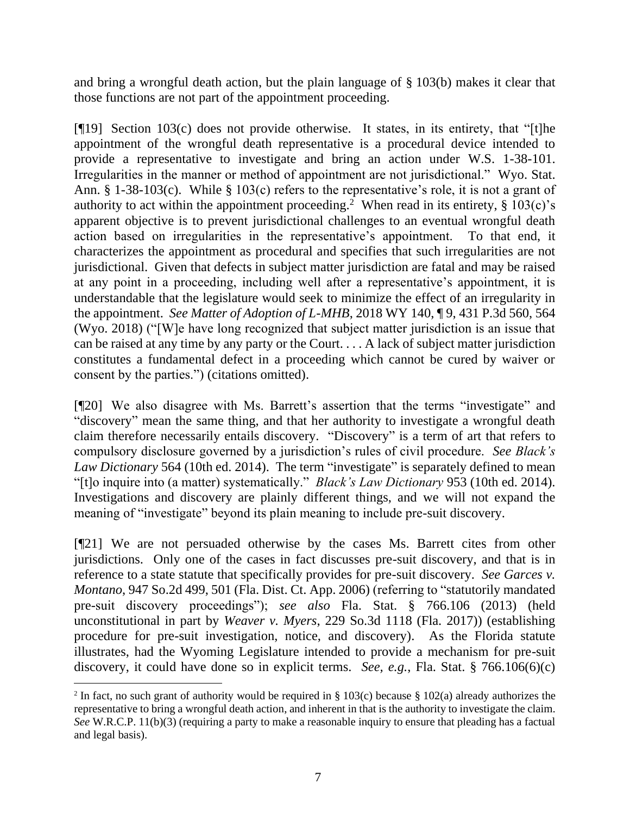and bring a wrongful death action, but the plain language of § 103(b) makes it clear that those functions are not part of the appointment proceeding.

[¶19] Section 103(c) does not provide otherwise. It states, in its entirety, that "[t]he appointment of the wrongful death representative is a procedural device intended to provide a representative to investigate and bring an action under [W.S. 1-38-101.](http://www.westlaw.com/Link/Document/FullText?findType=L&pubNum=1000377&cite=WYSTS1-38-101&originatingDoc=NCF30C6F07D3311E1ABA6D5ABCAA282A5&refType=LQ&originationContext=document&vr=3.0&rs=cblt1.0&transitionType=DocumentItem&contextData=(sc.Document)) Irregularities in the manner or method of appointment are not jurisdictional." Wyo. Stat. Ann. § 1-38-103(c). While § 103(c) refers to the representative's role, it is not a grant of authority to act within the appointment proceeding.<sup>2</sup> When read in its entirety,  $\S 103(c)$ 's apparent objective is to prevent jurisdictional challenges to an eventual wrongful death action based on irregularities in the representative's appointment. To that end, it characterizes the appointment as procedural and specifies that such irregularities are not jurisdictional. Given that defects in subject matter jurisdiction are fatal and may be raised at any point in a proceeding, including well after a representative's appointment, it is understandable that the legislature would seek to minimize the effect of an irregularity in the appointment. *See Matter of Adoption of L-MHB*, 2018 WY 140, ¶ 9, 431 P.3d 560, 564 (Wyo. 2018) ("[W]e have long recognized that subject matter jurisdiction is an issue that can be raised at any time by any party or the Court. . . . A lack of subject matter jurisdiction constitutes a fundamental defect in a proceeding which cannot be cured by waiver or consent by the parties.") (citations omitted).

[¶20] We also disagree with Ms. Barrett's assertion that the terms "investigate" and "discovery" mean the same thing, and that her authority to investigate a wrongful death claim therefore necessarily entails discovery. "Discovery" is a term of art that refers to compulsory disclosure governed by a jurisdiction's rules of civil procedure. *See Black's Law Dictionary* 564 (10th ed. 2014). The term "investigate" is separately defined to mean "[t]o inquire into (a matter) systematically." *Black's Law Dictionary* 953 (10th ed. 2014). Investigations and discovery are plainly different things, and we will not expand the meaning of "investigate" beyond its plain meaning to include pre-suit discovery.

[¶21] We are not persuaded otherwise by the cases Ms. Barrett cites from other jurisdictions. Only one of the cases in fact discusses pre-suit discovery, and that is in reference to a state statute that specifically provides for pre-suit discovery. *See Garces v. Montano*, 947 So.2d 499, 501 (Fla. Dist. Ct. App. 2006) (referring to "statutorily mandated pre-suit discovery proceedings"); *see also* Fla. Stat. § 766.106 (2013) (held unconstitutional in part by *Weaver v. Myers*, 229 So.3d 1118 (Fla. 2017)) (establishing procedure for pre-suit investigation, notice, and discovery). As the Florida statute illustrates, had the Wyoming Legislature intended to provide a mechanism for pre-suit discovery, it could have done so in explicit terms. *See, e.g.*, Fla. Stat. § 766.106(6)(c)

<sup>&</sup>lt;sup>2</sup> In fact, no such grant of authority would be required in § 103(c) because § 102(a) already authorizes the representative to bring a wrongful death action, and inherent in that is the authority to investigate the claim. *See* W.R.C.P. 11(b)(3) (requiring a party to make a reasonable inquiry to ensure that pleading has a factual and legal basis).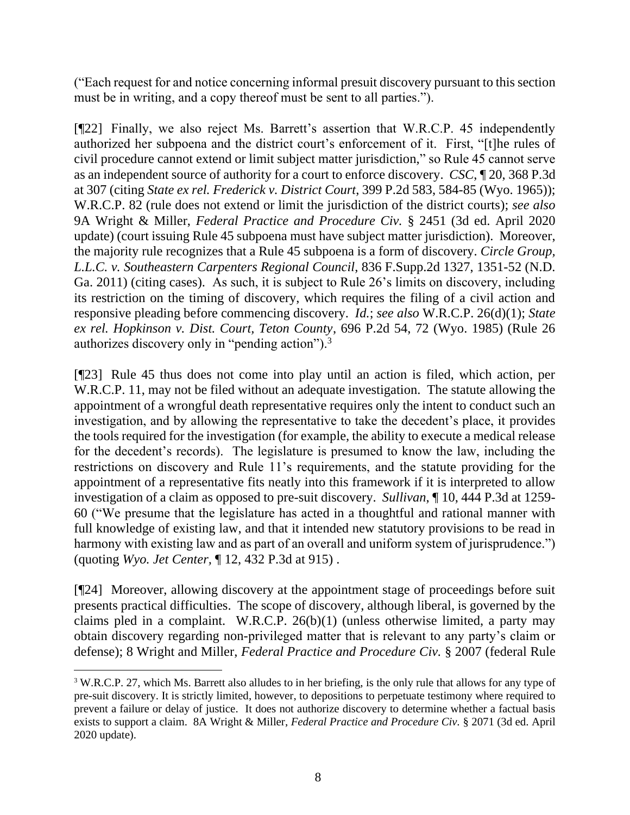("Each request for and notice concerning informal presuit discovery pursuant to this section must be in writing, and a copy thereof must be sent to all parties.").

[¶22] Finally, we also reject Ms. Barrett's assertion that W.R.C.P. 45 independently authorized her subpoena and the district court's enforcement of it. First, "[t]he rules of civil procedure cannot extend or limit subject matter jurisdiction," so Rule 45 cannot serve as an independent source of authority for a court to enforce discovery. *CSC*, ¶ 20, 368 P.3d at 307 (citing *State ex rel. Frederick v. District Court*, 399 P.2d 583, 584-85 (Wyo. 1965)); W.R.C.P. 82 (rule does not extend or limit the jurisdiction of the district courts); *see also* 9A Wright & Miller, *Federal Practice and Procedure Civ.* § 2451 (3d ed. April 2020 update) (court issuing Rule 45 subpoena must have subject matter jurisdiction). Moreover, the majority rule recognizes that a Rule 45 subpoena is a form of discovery. *Circle Group, L.L.C. v. Southeastern Carpenters Regional Council*, 836 F.Supp.2d 1327, 1351-52 (N.D. Ga. 2011) (citing cases). As such, it is subject to Rule 26's limits on discovery, including its restriction on the timing of discovery, which requires the filing of a civil action and responsive pleading before commencing discovery. *Id.*; *see also* W.R.C.P. 26(d)(1); *State ex rel. Hopkinson v. Dist. Court, Teton County*, 696 P.2d 54, 72 (Wyo. 1985) (Rule 26 authorizes discovery only in "pending action").<sup>3</sup>

[¶23] Rule 45 thus does not come into play until an action is filed, which action, per W.R.C.P. 11, may not be filed without an adequate investigation. The statute allowing the appointment of a wrongful death representative requires only the intent to conduct such an investigation, and by allowing the representative to take the decedent's place, it provides the tools required for the investigation (for example, the ability to execute a medical release for the decedent's records). The legislature is presumed to know the law, including the restrictions on discovery and Rule 11's requirements, and the statute providing for the appointment of a representative fits neatly into this framework if it is interpreted to allow investigation of a claim as opposed to pre-suit discovery. *Sullivan*, ¶ 10, 444 P.3d at 1259- 60 ("We presume that the legislature has acted in a thoughtful and rational manner with full knowledge of existing law, and that it intended new statutory provisions to be read in harmony with existing law and as part of an overall and uniform system of jurisprudence.") (quoting *Wyo. Jet Center,* [¶ 12, 432 P.3d at 915\) .](http://www.westlaw.com/Link/Document/FullText?findType=Y&serNum=2047331227&pubNum=0004645&originatingDoc=I828b5950a81911e98eaef725d418138a&refType=RP&fi=co_pp_sp_4645_915&originationContext=document&vr=3.0&rs=cblt1.0&transitionType=DocumentItem&contextData=(sc.Search)#co_pp_sp_4645_915)

[¶24] Moreover, allowing discovery at the appointment stage of proceedings before suit presents practical difficulties. The scope of discovery, although liberal, is governed by the claims pled in a complaint. W.R.C.P. 26(b)(1) (unless otherwise limited, a party may obtain discovery regarding non-privileged matter that is relevant to any party's claim or defense); 8 Wright and Miller, *Federal Practice and Procedure Civ.* § 2007 (federal Rule

<sup>3</sup> W.R.C.P. 27, which Ms. Barrett also alludes to in her briefing, is the only rule that allows for any type of pre-suit discovery. It is strictly limited, however, to depositions to perpetuate testimony where required to prevent a failure or delay of justice. It does not authorize discovery to determine whether a factual basis exists to support a claim. 8A Wright & Miller, *Federal Practice and Procedure Civ.* § 2071 (3d ed. April 2020 update).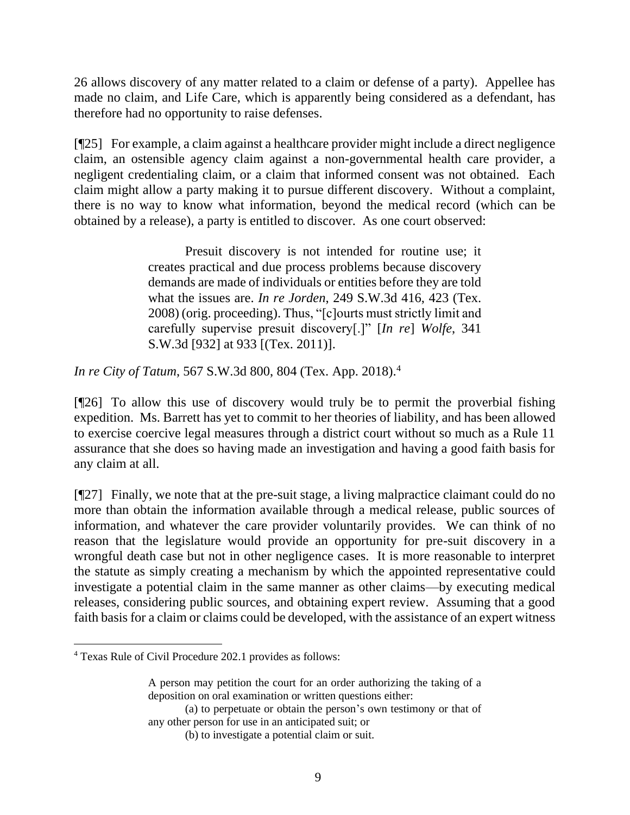26 allows discovery of any matter related to a claim or defense of a party). Appellee has made no claim, and Life Care, which is apparently being considered as a defendant, has therefore had no opportunity to raise defenses.

[¶25] For example, a claim against a healthcare provider might include a direct negligence claim, an ostensible agency claim against a non-governmental health care provider, a negligent credentialing claim, or a claim that informed consent was not obtained. Each claim might allow a party making it to pursue different discovery. Without a complaint, there is no way to know what information, beyond the medical record (which can be obtained by a release), a party is entitled to discover. As one court observed:

> Presuit discovery is not intended for routine use; it creates practical and due process problems because discovery demands are made of individuals or entities before they are told what the issues are. *In re Jorden*, 249 S.W.3d 416, 423 (Tex. 2008) (orig. proceeding). Thus, "[c]ourts must strictly limit and carefully supervise presuit discovery[.]" [*In re*] *Wolfe*, 341 S.W.3d [932] at 933 [(Tex. 2011)].

*In re City of Tatum*, 567 S.W.3d 800, 804 (Tex. App. 2018).<sup>4</sup>

[¶26] To allow this use of discovery would truly be to permit the proverbial fishing expedition. Ms. Barrett has yet to commit to her theories of liability, and has been allowed to exercise coercive legal measures through a district court without so much as a Rule 11 assurance that she does so having made an investigation and having a good faith basis for any claim at all.

[¶27] Finally, we note that at the pre-suit stage, a living malpractice claimant could do no more than obtain the information available through a medical release, public sources of information, and whatever the care provider voluntarily provides. We can think of no reason that the legislature would provide an opportunity for pre-suit discovery in a wrongful death case but not in other negligence cases. It is more reasonable to interpret the statute as simply creating a mechanism by which the appointed representative could investigate a potential claim in the same manner as other claims—by executing medical releases, considering public sources, and obtaining expert review. Assuming that a good faith basis for a claim or claims could be developed, with the assistance of an expert witness

(a) to perpetuate or obtain the person's own testimony or that of any other person for use in an anticipated suit; or

<sup>4</sup> Texas Rule of Civil Procedure 202.1 provides as follows:

A person may petition the court for an order authorizing the taking of a deposition on oral examination or written questions either:

<sup>(</sup>b) to investigate a potential claim or suit.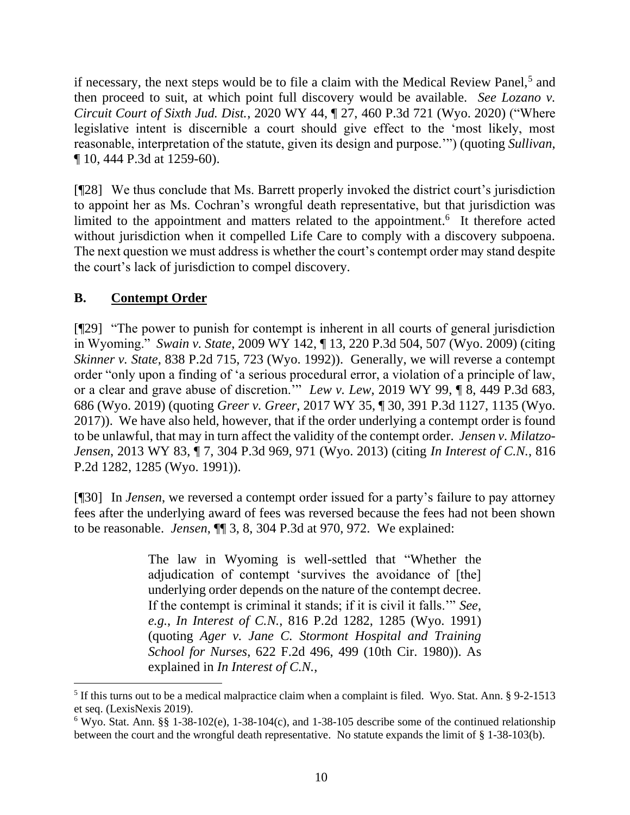if necessary, the next steps would be to file a claim with the Medical Review Panel,<sup>5</sup> and then proceed to suit, at which point full discovery would be available. *See Lozano v. Circuit Court of Sixth Jud. Dist.*, 2020 WY 44, ¶ 27, 460 P.3d 721 (Wyo. 2020) ("Where legislative intent is discernible a court should give effect to the 'most likely, most reasonable, interpretation of the statute, given its design and purpose.'") (quoting *[Sullivan](http://www.westlaw.com/Link/Document/FullText?findType=Y&serNum=2048711616&pubNum=0004645&originatingDoc=I848b40b0746c11ea8a27c5f88245c3b8&refType=RP&fi=co_pp_sp_4645_1259&originationContext=document&vr=3.0&rs=cblt1.0&transitionType=DocumentItem&contextData=(sc.Search)#co_pp_sp_4645_1259)*, [¶ 10, 444 P.3d at 1259-60\)](http://www.westlaw.com/Link/Document/FullText?findType=Y&serNum=2048711616&pubNum=0004645&originatingDoc=I848b40b0746c11ea8a27c5f88245c3b8&refType=RP&fi=co_pp_sp_4645_1259&originationContext=document&vr=3.0&rs=cblt1.0&transitionType=DocumentItem&contextData=(sc.Search)#co_pp_sp_4645_1259).

[¶28] We thus conclude that Ms. Barrett properly invoked the district court's jurisdiction to appoint her as Ms. Cochran's wrongful death representative, but that jurisdiction was limited to the appointment and matters related to the appointment.<sup>6</sup> It therefore acted without jurisdiction when it compelled Life Care to comply with a discovery subpoena. The next question we must address is whether the court's contempt order may stand despite the court's lack of jurisdiction to compel discovery.

# **B. Contempt Order**

[¶29] "The power to punish for contempt is inherent in all courts of general jurisdiction in Wyoming." *Swain v. State*, 2009 WY 142, ¶ 13, 220 P.3d 504, 507 (Wyo. 2009) (citing *Skinner v. State*, 838 P.2d 715, 723 (Wyo. 1992)). Generally, we will reverse a contempt order "only upon a finding of 'a serious procedural error, a violation of a principle of law, or a clear and grave abuse of discretion." *Lew v. Lew*, 2019 WY 99,  $\oint 8$ , 449 P.3d 683, 686 (Wyo. 2019) (quoting *Greer v. Greer*[, 2017 WY 35, ¶ 30, 391 P.3d 1127, 1135 \(Wyo.](http://www.westlaw.com/Link/Document/FullText?findType=Y&serNum=2041341353&pubNum=0004645&originatingDoc=Iaa722ba0e19011e98edaa29474e5f579&refType=RP&fi=co_pp_sp_4645_1134&originationContext=document&vr=3.0&rs=cblt1.0&transitionType=DocumentItem&contextData=(sc.Search)#co_pp_sp_4645_1134)  [2017\)\)](http://www.westlaw.com/Link/Document/FullText?findType=Y&serNum=2041341353&pubNum=0004645&originatingDoc=Iaa722ba0e19011e98edaa29474e5f579&refType=RP&fi=co_pp_sp_4645_1134&originationContext=document&vr=3.0&rs=cblt1.0&transitionType=DocumentItem&contextData=(sc.Search)#co_pp_sp_4645_1134). We have also held, however, that if the order underlying a contempt order is found to be unlawful, that may in turn affect the validity of the contempt order. *Jensen v. Milatzo-Jensen*, 2013 WY 83, ¶ 7, 304 P.3d 969, 971 (Wyo. 2013) (citing *In Interest of C.N.*, 816 P.2d 1282, 1285 (Wyo. 1991)).

[¶30] In *Jensen*, we reversed a contempt order issued for a party's failure to pay attorney fees after the underlying award of fees was reversed because the fees had not been shown to be reasonable. *Jensen*, ¶¶ 3, 8, 304 P.3d at 970, 972. We explained:

> The law in Wyoming is well-settled that "Whether the adjudication of contempt 'survives the avoidance of [the] underlying order depends on the nature of the contempt decree. If the contempt is criminal it stands; if it is civil it falls.'" *See*, *e.g.*, *In Interest of C.N.*, 816 P.2d 1282, 1285 (Wyo. 1991) (quoting *[Ager v. Jane C. Stormont Hospital and Training](http://www.westlaw.com/Link/Document/FullText?findType=Y&serNum=1980118271&pubNum=0000350&originatingDoc=I60c51e69e97611e2a555d241dae65084&refType=RP&fi=co_pp_sp_350_499&originationContext=document&vr=3.0&rs=cblt1.0&transitionType=DocumentItem&contextData=(sc.Keycite)#co_pp_sp_350_499)  School for Nurses*[, 622 F.2d 496, 499 \(10th Cir.](http://www.westlaw.com/Link/Document/FullText?findType=Y&serNum=1980118271&pubNum=0000350&originatingDoc=I60c51e69e97611e2a555d241dae65084&refType=RP&fi=co_pp_sp_350_499&originationContext=document&vr=3.0&rs=cblt1.0&transitionType=DocumentItem&contextData=(sc.Keycite)#co_pp_sp_350_499) 1980)). As explained in *In Interest of C.N.*,

<sup>&</sup>lt;sup>5</sup> If this turns out to be a medical malpractice claim when a complaint is filed. Wyo. Stat. Ann. § 9-2-1513 et seq. (LexisNexis 2019).

 $6$  Wyo. Stat. Ann. §§ 1-38-102(e), 1-38-104(c), and 1-38-105 describe some of the continued relationship between the court and the wrongful death representative. No statute expands the limit of § 1-38-103(b).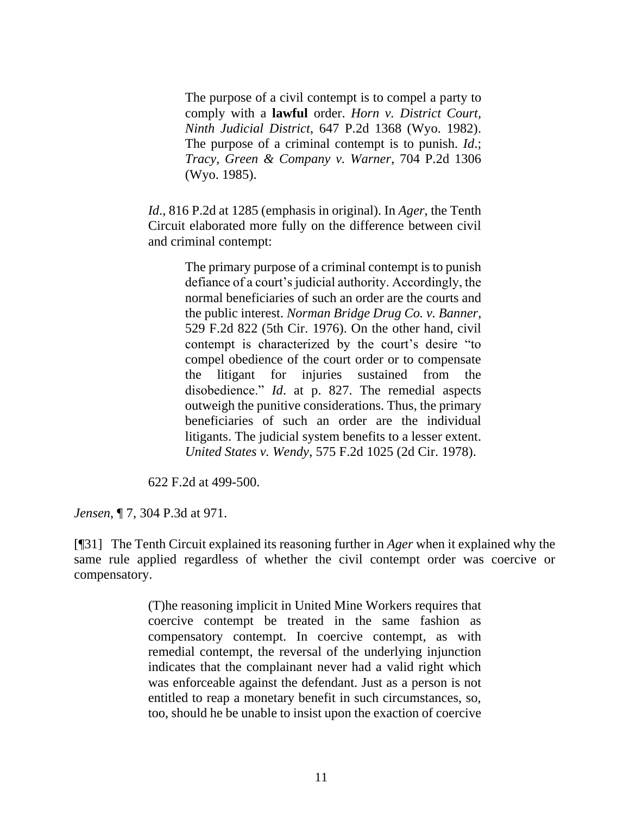The purpose of a civil contempt is to compel a party to comply with a **lawful** order. *Horn v. District Court, Ninth Judicial District*, 647 P.2d 1368 (Wyo. 1982). The purpose of a criminal contempt is to punish. *[Id](http://www.westlaw.com/Link/Document/FullText?findType=Y&serNum=1982132067&originatingDoc=I60c51e69e97611e2a555d241dae65084&refType=RP&originationContext=document&vr=3.0&rs=cblt1.0&transitionType=DocumentItem&contextData=(sc.Keycite))*.; *Tracy, Green & Company v. Warner*, 704 P.2d 1306 (Wyo. 1985).

*Id*[., 816 P.2d at 1285](http://www.westlaw.com/Link/Document/FullText?findType=Y&serNum=1991150469&pubNum=0000661&originatingDoc=I60c51e69e97611e2a555d241dae65084&refType=RP&fi=co_pp_sp_661_1285&originationContext=document&vr=3.0&rs=cblt1.0&transitionType=DocumentItem&contextData=(sc.Keycite)#co_pp_sp_661_1285) (emphasis in original). In *Ager*, the Tenth Circuit elaborated more fully on the difference between civil and criminal contempt:

> The primary purpose of a criminal contempt is to punish defiance of a court's judicial authority. Accordingly, the normal beneficiaries of such an order are the courts and the public interest. *Norman Bridge Drug Co. v. Banner*, 529 F.2d 822 (5th Cir. 1976). On the other hand, civil contempt is characterized by the court's desire "to compel obedience of the court order or to compensate the litigant for injuries sustained from the disobedience." *Id*. at p. 827. The remedial aspects outweigh the punitive considerations. Thus, the primary beneficiaries of such an order are the individual litigants. The judicial system benefits to a lesser extent. *United States v. Wendy*, 575 F.2d 1025 (2d Cir. 1978).

622 F.2d at 499-500.

*Jensen*, ¶ 7, 304 P.3d at 971.

[¶31] The Tenth Circuit explained its reasoning further in *Ager* when it explained why the same rule applied regardless of whether the civil contempt order was coercive or compensatory.

> (T)he reasoning implicit in United Mine Workers requires that coercive contempt be treated in the same fashion as compensatory contempt. In coercive contempt, as with remedial contempt, the reversal of the underlying injunction indicates that the complainant never had a valid right which was enforceable against the defendant. Just as a person is not entitled to reap a monetary benefit in such circumstances, so, too, should he be unable to insist upon the exaction of coercive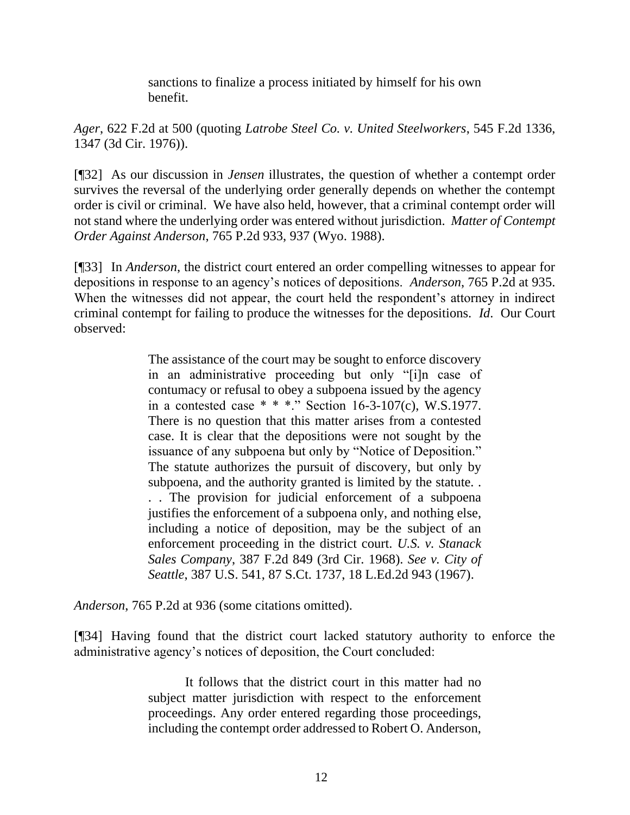sanctions to finalize a process initiated by himself for his own benefit.

*Ager*, 622 F.2d at 500 (quoting *[Latrobe Steel Co. v. United Steelworkers](http://www.westlaw.com/Link/Document/FullText?findType=Y&serNum=1976125600&pubNum=350&originatingDoc=I0c80481a922111d993e6d35cc61aab4a&refType=RP&fi=co_pp_sp_350_1342&originationContext=document&vr=3.0&rs=cblt1.0&transitionType=DocumentItem&contextData=(sc.DocLink)#co_pp_sp_350_1342)*, 545 F.2d 1336, 1347 [\(3d Cir. 1976\)\)](http://www.westlaw.com/Link/Document/FullText?findType=Y&serNum=1976125600&pubNum=350&originatingDoc=I0c80481a922111d993e6d35cc61aab4a&refType=RP&fi=co_pp_sp_350_1342&originationContext=document&vr=3.0&rs=cblt1.0&transitionType=DocumentItem&contextData=(sc.DocLink)#co_pp_sp_350_1342).

[¶32] As our discussion in *Jensen* illustrates, the question of whether a contempt order survives the reversal of the underlying order generally depends on whether the contempt order is civil or criminal. We have also held, however, that a criminal contempt order will not stand where the underlying order was entered without jurisdiction. *Matter of Contempt Order Against Anderson*, 765 P.2d 933, 937 (Wyo. 1988).

[¶33] In *Anderson*, the district court entered an order compelling witnesses to appear for depositions in response to an agency's notices of depositions. *Anderson*, 765 P.2d at 935. When the witnesses did not appear, the court held the respondent's attorney in indirect criminal contempt for failing to produce the witnesses for the depositions. *Id*. Our Court observed:

> The assistance of the court may be sought to enforce discovery in an administrative proceeding but only "[i]n case of contumacy or refusal to obey a subpoena issued by the agency in a contested case \* \* \*." Section 16-3-107(c), W.S.1977. There is no question that this matter arises from a contested case. It is clear that the depositions were not sought by the issuance of any subpoena but only by "Notice of Deposition." The statute authorizes the pursuit of discovery, but only by subpoena, and the authority granted is limited by the statute. . . . The provision for judicial enforcement of a subpoena justifies the enforcement of a subpoena only, and nothing else, including a notice of deposition, may be the subject of an enforcement proceeding in the district court. *U.S. v. Stanack Sales Company*, 387 F.2d 849 (3rd Cir. 1968). *See v. City of Seattle*, 387 U.S. 541, 87 S.Ct. 1737, 18 L.Ed.2d 943 (1967).

*Anderson*, 765 P.2d at 936 (some citations omitted).

[¶34] Having found that the district court lacked statutory authority to enforce the administrative agency's notices of deposition, the Court concluded:

> It follows that the district court in this matter had no subject matter jurisdiction with respect to the enforcement proceedings. Any order entered regarding those proceedings, including the contempt order addressed to Robert O. Anderson,